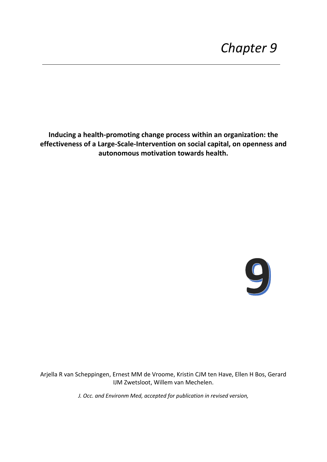**Inducing a health-promoting change process within an organization: the effectiveness of a Large-Scale-Intervention on social capital, on openness and autonomous motivation towards health.**



Arjella R van Scheppingen, Ernest MM de Vroome, Kristin CJM ten Have, Ellen H Bos, Gerard IJM Zwetsloot, Willem van Mechelen.

*J. Occ. and Environm Med, accepted for publication in revised version,*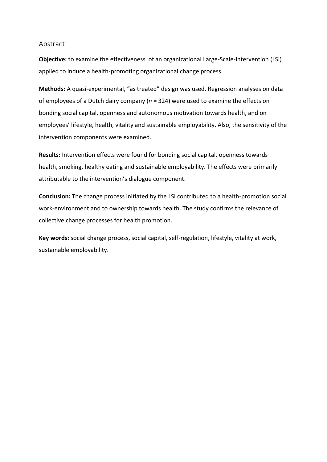# Abstract

**Objective:** to examine the effectiveness of an organizational Large-Scale-Intervention (LSI) applied to induce a health-promoting organizational change process.

**Methods:** A quasi-experimental, "as treated" design was used. Regression analyses on data of employees of a Dutch dairy company (*n* = 324) were used to examine the effects on bonding social capital, openness and autonomous motivation towards health, and on employees' lifestyle, health, vitality and sustainable employability. Also, the sensitivity of the intervention components were examined.

**Results:** Intervention effects were found for bonding social capital, openness towards health, smoking, healthy eating and sustainable employability. The effects were primarily attributable to the intervention's dialogue component.

**Conclusion:** The change process initiated by the LSI contributed to a health-promotion social work-environment and to ownership towards health. The study confirms the relevance of collective change processes for health promotion.

**Key words:** social change process, social capital, self-regulation, lifestyle, vitality at work, sustainable employability.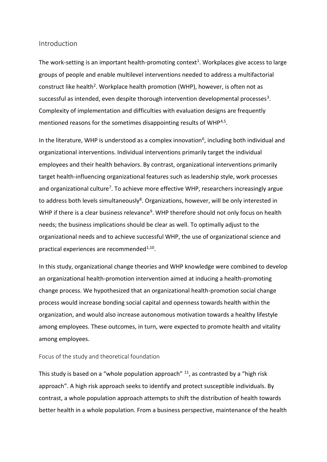### Introduction

The work-setting is an important health-promoting context<sup>1</sup>. Workplaces give access to large groups of people and enable multilevel interventions needed to address a multifactorial construct like health<sup>2</sup>. Workplace health promotion (WHP), however, is often not as successful as intended, even despite thorough intervention developmental processes<sup>3</sup>. Complexity of implementation and difficulties with evaluation designs are frequently mentioned reasons for the sometimes disappointing results of WHP<sup>4,5</sup>.

In the literature, WHP is understood as a complex innovation<sup>6</sup>, including both individual and organizational interventions. Individual interventions primarily target the individual employees and their health behaviors. By contrast, organizational interventions primarily target health-influencing organizational features such as leadership style, work processes and organizational culture<sup>7</sup>. To achieve more effective WHP, researchers increasingly argue to address both levels simultaneously<sup>8</sup>. Organizations, however, will be only interested in WHP if there is a clear business relevance<sup>9</sup>. WHP therefore should not only focus on health needs; the business implications should be clear as well. To optimally adjust to the organizational needs and to achieve successful WHP, the use of organizational science and practical experiences are recommended<sup>1,10</sup>.

In this study, organizational change theories and WHP knowledge were combined to develop an organizational health-promotion intervention aimed at inducing a health-promoting change process. We hypothesized that an organizational health-promotion social change process would increase bonding social capital and openness towards health within the organization, and would also increase autonomous motivation towards a healthy lifestyle among employees. These outcomes, in turn, were expected to promote health and vitality among employees.

### Focus of the study and theoretical foundation

This study is based on a "whole population approach"  $11$ , as contrasted by a "high risk approach". A high risk approach seeks to identify and protect susceptible individuals. By contrast, a whole population approach attempts to shift the distribution of health towards better health in a whole population. From a business perspective, maintenance of the health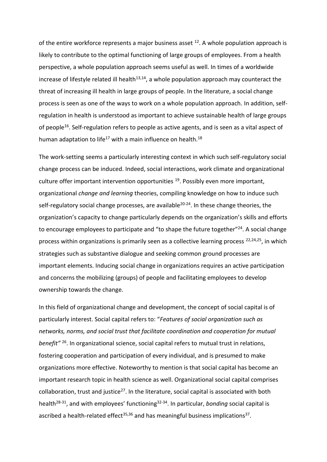of the entire workforce represents a major business asset  $12$ . A whole population approach is likely to contribute to the optimal functioning of large groups of employees. From a health perspective, a whole population approach seems useful as well. In times of a worldwide increase of lifestyle related ill health $13,14$ , a whole population approach may counteract the threat of increasing ill health in large groups of people. In the literature, a social change process is seen as one of the ways to work on a whole population approach. In addition, selfregulation in health is understood as important to achieve sustainable health of large groups of people<sup>16</sup>. Self-regulation refers to people as active agents, and is seen as a vital aspect of human adaptation to life<sup>17</sup> with a main influence on health.<sup>18</sup>

The work-setting seems a particularly interesting context in which such self-regulatory social change process can be induced. Indeed, social interactions, work climate and organizational culture offer important intervention opportunities  $19$ . Possibly even more important, organizational *change and learning* theories, compiling knowledge on how to induce such self-regulatory social change processes, are available<sup>20-24</sup>. In these change theories, the organization's capacity to change particularly depends on the organization's skills and efforts to encourage employees to participate and "to shape the future together"<sup>24</sup>. A social change process within organizations is primarily seen as a collective learning process  $22,24,25$ , in which strategies such as substantive dialogue and seeking common ground processes are important elements. Inducing social change in organizations requires an active participation and concerns the mobilizing (groups) of people and facilitating employees to develop ownership towards the change.

In this field of organizational change and development, the concept of social capital is of particularly interest. Social capital refers to: "*Features of social organization such as networks, norms, and social trust that facilitate coordination and cooperation for mutual benefit"* <sup>26</sup>. In organizational science, social capital refers to mutual trust in relations, fostering cooperation and participation of every individual, and is presumed to make organizations more effective. Noteworthy to mention is that social capital has become an important research topic in health science as well. Organizational social capital comprises collaboration, trust and justice<sup>27</sup>. In the literature, social capital is associated with both health28-31, and with employees' functioning32-34. In particular, *bonding* social capital is ascribed a health-related effect<sup>35,36</sup> and has meaningful business implications<sup>37</sup>.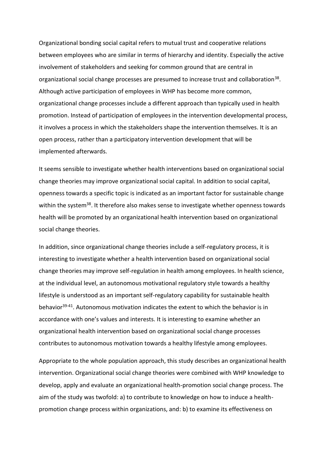Organizational bonding social capital refers to mutual trust and cooperative relations between employees who are similar in terms of hierarchy and identity. Especially the active involvement of stakeholders and seeking for common ground that are central in organizational social change processes are presumed to increase trust and collaboration<sup>38</sup>. Although active participation of employees in WHP has become more common, organizational change processes include a different approach than typically used in health promotion. Instead of participation of employees in the intervention developmental process, it involves a process in which the stakeholders shape the intervention themselves. It is an open process, rather than a participatory intervention development that will be implemented afterwards.

It seems sensible to investigate whether health interventions based on organizational social change theories may improve organizational social capital. In addition to social capital, openness towards a specific topic is indicated as an important factor for sustainable change within the system<sup>38</sup>. It therefore also makes sense to investigate whether openness towards health will be promoted by an organizational health intervention based on organizational social change theories.

In addition, since organizational change theories include a self-regulatory process, it is interesting to investigate whether a health intervention based on organizational social change theories may improve self-regulation in health among employees. In health science, at the individual level, an autonomous motivational regulatory style towards a healthy lifestyle is understood as an important self-regulatory capability for sustainable health behavior<sup>39-41</sup>. Autonomous motivation indicates the extent to which the behavior is in accordance with one's values and interests. It is interesting to examine whether an organizational health intervention based on organizational social change processes contributes to autonomous motivation towards a healthy lifestyle among employees.

Appropriate to the whole population approach, this study describes an organizational health intervention. Organizational social change theories were combined with WHP knowledge to develop, apply and evaluate an organizational health-promotion social change process. The aim of the study was twofold: a) to contribute to knowledge on how to induce a healthpromotion change process within organizations, and: b) to examine its effectiveness on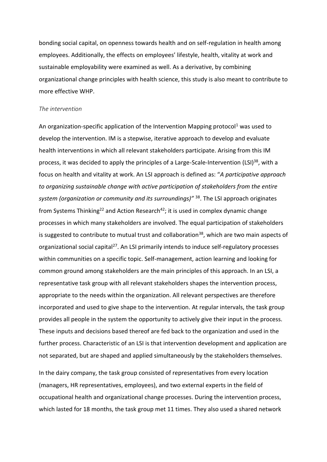bonding social capital, on openness towards health and on self-regulation in health among employees. Additionally, the effects on employees' lifestyle, health, vitality at work and sustainable employability were examined as well. As a derivative, by combining organizational change principles with health science, this study is also meant to contribute to more effective WHP.

#### *The intervention*

An organization-specific application of the Intervention Mapping protocol<sup>1</sup> was used to develop the intervention. IM is a stepwise, iterative approach to develop and evaluate health interventions in which all relevant stakeholders participate. Arising from this IM process, it was decided to apply the principles of a Large-Scale-Intervention (LSI)<sup>38</sup>, with a focus on health and vitality at work. An LSI approach is defined as: "*A participative approach to organizing sustainable change with active participation of stakeholders from the entire system (organization or community and its surroundings)"* <sup>38</sup>. The LSI approach originates from Systems Thinking<sup>22</sup> and Action Research<sup>42</sup>; it is used in complex dynamic change processes in which many stakeholders are involved. The equal participation of stakeholders is suggested to contribute to mutual trust and collaboration<sup>38</sup>, which are two main aspects of organizational social capital<sup>27</sup>. An LSI primarily intends to induce self-regulatory processes within communities on a specific topic. Self-management, action learning and looking for common ground among stakeholders are the main principles of this approach. In an LSI, a representative task group with all relevant stakeholders shapes the intervention process, appropriate to the needs within the organization. All relevant perspectives are therefore incorporated and used to give shape to the intervention. At regular intervals, the task group provides all people in the system the opportunity to actively give their input in the process. These inputs and decisions based thereof are fed back to the organization and used in the further process. Characteristic of an LSI is that intervention development and application are not separated, but are shaped and applied simultaneously by the stakeholders themselves.

In the dairy company, the task group consisted of representatives from every location (managers, HR representatives, employees), and two external experts in the field of occupational health and organizational change processes. During the intervention process, which lasted for 18 months, the task group met 11 times. They also used a shared network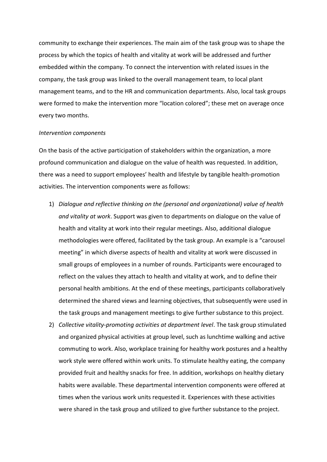community to exchange their experiences. The main aim of the task group was to shape the process by which the topics of health and vitality at work will be addressed and further embedded within the company. To connect the intervention with related issues in the company, the task group was linked to the overall management team, to local plant management teams, and to the HR and communication departments. Also, local task groups were formed to make the intervention more "location colored"; these met on average once every two months.

#### *Intervention components*

On the basis of the active participation of stakeholders within the organization, a more profound communication and dialogue on the value of health was requested. In addition, there was a need to support employees' health and lifestyle by tangible health-promotion activities. The intervention components were as follows:

- 1) *Dialogue and reflective thinking on the (personal and organizational) value of health and vitality at work*. Support was given to departments on dialogue on the value of health and vitality at work into their regular meetings. Also, additional dialogue methodologies were offered, facilitated by the task group. An example is a "carousel meeting" in which diverse aspects of health and vitality at work were discussed in small groups of employees in a number of rounds. Participants were encouraged to reflect on the values they attach to health and vitality at work, and to define their personal health ambitions. At the end of these meetings, participants collaboratively determined the shared views and learning objectives, that subsequently were used in the task groups and management meetings to give further substance to this project.
- 2) *Collective vitality-promoting activities at department level*. The task group stimulated and organized physical activities at group level, such as lunchtime walking and active commuting to work. Also, workplace training for healthy work postures and a healthy work style were offered within work units. To stimulate healthy eating, the company provided fruit and healthy snacks for free. In addition, workshops on healthy dietary habits were available. These departmental intervention components were offered at times when the various work units requested it. Experiences with these activities were shared in the task group and utilized to give further substance to the project.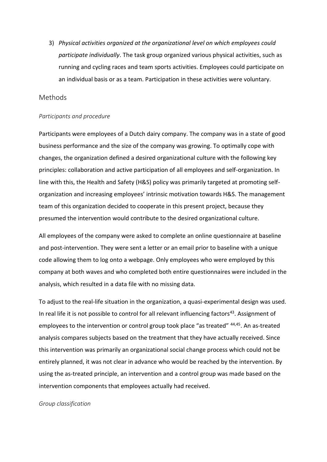3) *Physical activities organized at the organizational level on which employees could participate individually*. The task group organized various physical activities, such as running and cycling races and team sports activities. Employees could participate on an individual basis or as a team. Participation in these activities were voluntary.

## Methods

### *Participants and procedure*

Participants were employees of a Dutch dairy company. The company was in a state of good business performance and the size of the company was growing. To optimally cope with changes, the organization defined a desired organizational culture with the following key principles: collaboration and active participation of all employees and self-organization. In line with this, the Health and Safety (H&S) policy was primarily targeted at promoting selforganization and increasing employees' intrinsic motivation towards H&S. The management team of this organization decided to cooperate in this present project, because they presumed the intervention would contribute to the desired organizational culture.

All employees of the company were asked to complete an online questionnaire at baseline and post-intervention. They were sent a letter or an email prior to baseline with a unique code allowing them to log onto a webpage. Only employees who were employed by this company at both waves and who completed both entire questionnaires were included in the analysis, which resulted in a data file with no missing data.

To adjust to the real-life situation in the organization, a quasi-experimental design was used. In real life it is not possible to control for all relevant influencing factors<sup>43</sup>. Assignment of employees to the intervention or control group took place "as treated" <sup>44,45</sup>. An as-treated analysis compares subjects based on the treatment that they have actually received. Since this intervention was primarily an organizational social change process which could not be entirely planned, it was not clear in advance who would be reached by the intervention. By using the as-treated principle, an intervention and a control group was made based on the intervention components that employees actually had received.

#### *Group classification*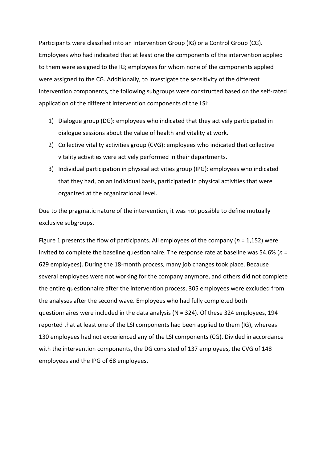Participants were classified into an Intervention Group (IG) or a Control Group (CG). Employees who had indicated that at least one the components of the intervention applied to them were assigned to the IG; employees for whom none of the components applied were assigned to the CG. Additionally, to investigate the sensitivity of the different intervention components, the following subgroups were constructed based on the self-rated application of the different intervention components of the LSI:

- 1) Dialogue group (DG): employees who indicated that they actively participated in dialogue sessions about the value of health and vitality at work.
- 2) Collective vitality activities group (CVG): employees who indicated that collective vitality activities were actively performed in their departments.
- 3) Individual participation in physical activities group (IPG): employees who indicated that they had, on an individual basis, participated in physical activities that were organized at the organizational level.

Due to the pragmatic nature of the intervention, it was not possible to define mutually exclusive subgroups.

Figure 1 presents the flow of participants. All employees of the company (*n* = 1,152) were invited to complete the baseline questionnaire. The response rate at baseline was 54.6% (*n* = 629 employees). During the 18-month process, many job changes took place. Because several employees were not working for the company anymore, and others did not complete the entire questionnaire after the intervention process, 305 employees were excluded from the analyses after the second wave. Employees who had fully completed both questionnaires were included in the data analysis (N = 324). Of these 324 employees, 194 reported that at least one of the LSI components had been applied to them (IG), whereas 130 employees had not experienced any of the LSI components (CG). Divided in accordance with the intervention components, the DG consisted of 137 employees, the CVG of 148 employees and the IPG of 68 employees.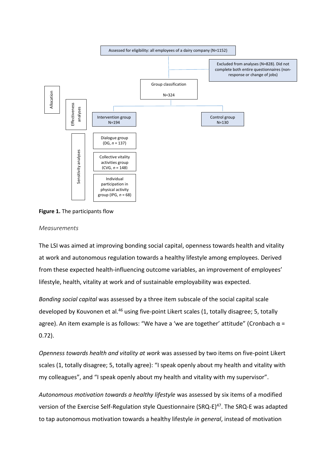

**Figure 1.** The participants flow

### *Measurements*

The LSI was aimed at improving bonding social capital, openness towards health and vitality at work and autonomous regulation towards a healthy lifestyle among employees. Derived from these expected health-influencing outcome variables, an improvement of employees' lifestyle, health, vitality at work and of sustainable employability was expected.

*Bonding social capital* was assessed by a three item subscale of the social capital scale developed by Kouvonen et al.<sup>46</sup> using five-point Likert scales (1, totally disagree; 5, totally agree). An item example is as follows: "We have a 'we are together' attitude" (Cronbach  $\alpha$  = 0.72).

*Openness towards health and vitality at work* was assessed by two items on five-point Likert scales (1, totally disagree; 5, totally agree): "I speak openly about my health and vitality with my colleagues", and "I speak openly about my health and vitality with my supervisor".

*Autonomous motivation towards a healthy lifestyle* was assessed by six items of a modified version of the Exercise Self-Regulation style Questionnaire (SRQ-E)<sup>47</sup>. The SRQ-E was adapted to tap autonomous motivation towards a healthy lifestyle *in general*, instead of motivation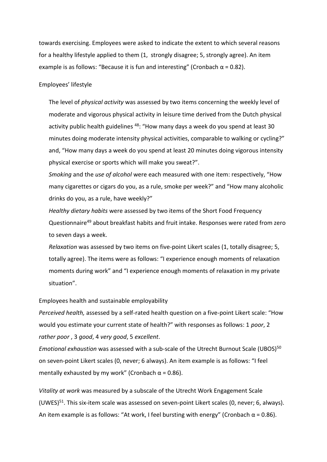towards exercising. Employees were asked to indicate the extent to which several reasons for a healthy lifestyle applied to them (1, strongly disagree; 5, strongly agree). An item example is as follows: "Because it is fun and interesting" (Cronbach  $\alpha$  = 0.82).

### Employees' lifestyle

The level of *physical activity* was assessed by two items concerning the weekly level of moderate and vigorous physical activity in leisure time derived from the Dutch physical activity public health guidelines <sup>48</sup>: "How many days a week do you spend at least 30 minutes doing moderate intensity physical activities, comparable to walking or cycling?" and, "How many days a week do you spend at least 20 minutes doing vigorous intensity physical exercise or sports which will make you sweat?".

*Smoking* and the *use of alcohol* were each measured with one item: respectively, "How many cigarettes or cigars do you, as a rule, smoke per week?" and "How many alcoholic drinks do you, as a rule, have weekly?"

*Healthy dietary habits* were assessed by two items of the Short Food Frequency Questionnaire<sup>49</sup> about breakfast habits and fruit intake. Responses were rated from zero to seven days a week.

*Relaxation* was assessed by two items on five-point Likert scales (1, totally disagree; 5, totally agree). The items were as follows: "I experience enough moments of relaxation moments during work" and "I experience enough moments of relaxation in my private situation".

### Employees health and sustainable employability

*Perceived health,* assessed by a self-rated health question on a five-point Likert scale: "How would you estimate your current state of health?" with responses as follows: 1 *poor*, 2 *rather poor* , 3 *good*, 4 *very good*, 5 *excellent*.

*Emotional exhaustion* was assessed with a sub-scale of the Utrecht Burnout Scale (UBOS)<sup>50</sup> on seven-point Likert scales (0, never; 6 always). An item example is as follows: "I feel mentally exhausted by my work" (Cronbach  $\alpha$  = 0.86).

*Vitality at work* was measured by a subscale of the Utrecht Work Engagement Scale (UWES) $51$ . This six-item scale was assessed on seven-point Likert scales (0, never; 6, always). An item example is as follows: "At work, I feel bursting with energy" (Cronbach  $\alpha$  = 0.86).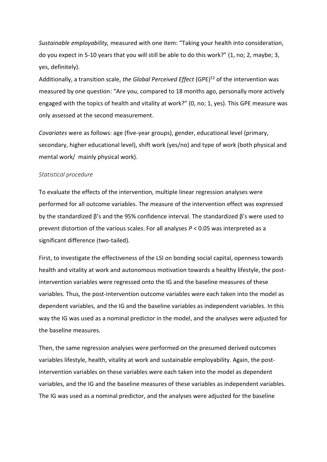*Sustainable employability,* measured with one item: "Taking your health into consideration, do you expect in 5-10 years that you will still be able to do this work?" (1, no; 2, maybe; 3, yes, definitely).

Additionally, a transition scale, *the Global Perceived Effect* (GPE)<sup>52</sup> of the intervention was measured by one question: "Are you, compared to 18 months ago, personally more actively engaged with the topics of health and vitality at work?" (0, no; 1, yes). This GPE measure was only assessed at the second measurement.

*Covariates* were as follows: age (five-year groups), gender, educational level (primary, secondary, higher educational level), shift work (yes/no) and type of work (both physical and mental work/ mainly physical work).

### *Statistical procedure*

To evaluate the effects of the intervention*,* multiple linear regression analyses were performed for all outcome variables. The measure of the intervention effect was expressed by the standardized β's and the 95% confidence interval. The standardized β's were used to prevent distortion of the various scales. For all analyses *P* < 0.05 was interpreted as a significant difference (two-tailed).

First, to investigate the effectiveness of the LSI on bonding social capital, openness towards health and vitality at work and autonomous motivation towards a healthy lifestyle, the postintervention variables were regressed onto the IG and the baseline measures of these variables. Thus, the post-intervention outcome variables were each taken into the model as dependent variables, and the IG and the baseline variables as independent variables. In this way the IG was used as a nominal predictor in the model, and the analyses were adjusted for the baseline measures.

Then, the same regression analyses were performed on the presumed derived outcomes variables lifestyle, health, vitality at work and sustainable employability. Again, the postintervention variables on these variables were each taken into the model as dependent variables, and the IG and the baseline measures of these variables as independent variables. The IG was used as a nominal predictor, and the analyses were adjusted for the baseline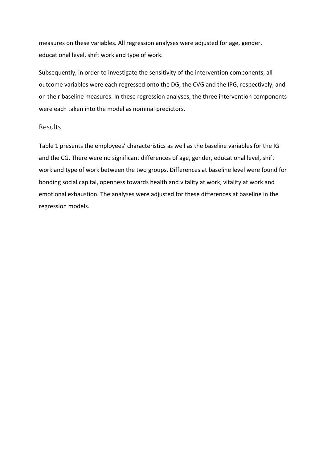measures on these variables. All regression analyses were adjusted for age, gender, educational level, shift work and type of work.

Subsequently, in order to investigate the sensitivity of the intervention components, all outcome variables were each regressed onto the DG, the CVG and the IPG, respectively, and on their baseline measures. In these regression analyses, the three intervention components were each taken into the model as nominal predictors.

# Results

Table 1 presents the employees' characteristics as well as the baseline variables for the IG and the CG. There were no significant differences of age, gender, educational level, shift work and type of work between the two groups. Differences at baseline level were found for bonding social capital, openness towards health and vitality at work, vitality at work and emotional exhaustion. The analyses were adjusted for these differences at baseline in the regression models.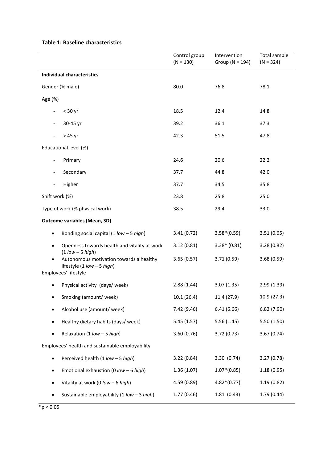### **Table 1: Baseline characteristics**

|                                                                                                                                   | Control group<br>$(N = 130)$ | Intervention<br>Group ( $N = 194$ ) | <b>Total sample</b><br>$(N = 324)$ |
|-----------------------------------------------------------------------------------------------------------------------------------|------------------------------|-------------------------------------|------------------------------------|
| <b>Individual characteristics</b>                                                                                                 |                              |                                     |                                    |
| Gender (% male)                                                                                                                   | 80.0                         | 76.8                                | 78.1                               |
| Age (%)                                                                                                                           |                              |                                     |                                    |
| $<$ 30 yr<br>$\overline{\phantom{a}}$                                                                                             | 18.5                         | 12.4                                | 14.8                               |
| 30-45 yr<br>$\overline{\phantom{a}}$                                                                                              | 39.2                         | 36.1                                | 37.3                               |
| > 45 yr<br>$\overline{\phantom{a}}$                                                                                               | 42.3                         | 51.5                                | 47.8                               |
| Educational level (%)                                                                                                             |                              |                                     |                                    |
| Primary<br>$\overline{\phantom{a}}$                                                                                               | 24.6                         | 20.6                                | 22.2                               |
| Secondary<br>$\overline{\phantom{a}}$                                                                                             | 37.7                         | 44.8                                | 42.0                               |
| Higher                                                                                                                            | 37.7                         | 34.5                                | 35.8                               |
| Shift work (%)                                                                                                                    | 23.8                         | 25.8                                | 25.0                               |
| Type of work (% physical work)                                                                                                    | 38.5                         | 29.4                                | 33.0                               |
| <b>Outcome variables (Mean, SD)</b>                                                                                               |                              |                                     |                                    |
| Bonding social capital $(1$ low - 5 high)<br>$\bullet$                                                                            | 3.41(0.72)                   | $3.58*(0.59)$                       | 3.51(0.65)                         |
| Openness towards health and vitality at work<br>$\bullet$                                                                         | 3.12(0.81)                   | $3.38*(0.81)$                       | 3.28(0.82)                         |
| $(1$ low $-5$ high)<br>Autonomous motivation towards a healthy<br>$\bullet$<br>lifestyle (1 low - 5 high)<br>Employees' lifestyle | 3.65(0.57)                   | 3.71(0.59)                          | 3.68(0.59)                         |
| Physical activity (days/week)                                                                                                     | 2.88(1.44)                   | 3.07(1.35)                          | 2.99(1.39)                         |
| Smoking (amount/week)                                                                                                             | 10.1(26.4)                   | 11.4 (27.9)                         | 10.9 (27.3)                        |
| Alcohol use (amount/week)<br>٠                                                                                                    | 7.42 (9.46)                  | 6.41(6.66)                          | 6.82(7.90)                         |
| Healthy dietary habits (days/ week)<br>$\bullet$                                                                                  | 5.45(1.57)                   | 5.56(1.45)                          | 5.50(1.50)                         |
| Relaxation (1 $low - 5 high$ )<br>٠                                                                                               | 3.60(0.76)                   | 3.72(0.73)                          | 3.67(0.74)                         |
| Employees' health and sustainable employability                                                                                   |                              |                                     |                                    |
| Perceived health (1 low - 5 high)<br>$\bullet$                                                                                    | 3.22(0.84)                   | 3.30 (0.74)                         | 3.27(0.78)                         |
| Emotional exhaustion (0 low - 6 high)<br>٠                                                                                        | 1.36(1.07)                   | $1.07*(0.85)$                       | 1.18(0.95)                         |
| Vitality at work (0 low - 6 high)<br>٠                                                                                            | 4.59 (0.89)                  | $4.82*(0.77)$                       | 1.19(0.82)                         |
| Sustainable employability (1 low - 3 high)<br>٠                                                                                   | 1.77(0.46)                   | 1.81(0.43)                          | 1.79(0.44)                         |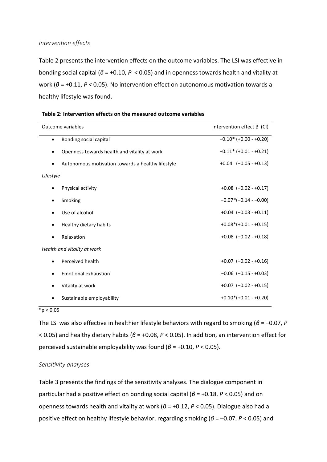# *Intervention effects*

Table 2 presents the intervention effects on the outcome variables. The LSI was effective in bonding social capital (*β* = +0.10, *P* < 0.05) and in openness towards health and vitality at work (*β* = +0.11, *P* < 0.05). No intervention effect on autonomous motivation towards a healthy lifestyle was found.

| <b>Outcome variables</b><br>Intervention effect $\beta$ (CI) |                                                   |                             |
|--------------------------------------------------------------|---------------------------------------------------|-----------------------------|
| $\bullet$                                                    | Bonding social capital                            | $+0.10$ * (+0.00 - +0.20)   |
|                                                              | Openness towards health and vitality at work      | $+0.11$ * $(+0.01 - +0.21)$ |
|                                                              | Autonomous motivation towards a healthy lifestyle | $+0.04$ $(-0.05 - +0.13)$   |
| Lifestyle                                                    |                                                   |                             |
|                                                              | Physical activity                                 | $+0.08$ (-0.02 - +0.17)     |
|                                                              | Smoking                                           | $-0.07*(-0.14--0.00)$       |
|                                                              | Use of alcohol                                    | $+0.04$ $(-0.03 - +0.11)$   |
|                                                              | Healthy dietary habits                            | $+0.08*(+0.01 - +0.15)$     |
|                                                              | Relaxation                                        | $+0.08$ $(-0.02 - +0.18)$   |
|                                                              | Health and vitality at work                       |                             |
| ٠                                                            | Perceived health                                  | $+0.07$ $(-0.02 - +0.16)$   |
|                                                              | <b>Emotional exhaustion</b>                       | $-0.06$ $(-0.15 - +0.03)$   |
|                                                              | Vitality at work                                  | $+0.07$ (-0.02 - +0.15)     |
|                                                              | Sustainable employability                         | $+0.10*(+0.01 - +0.20)$     |

|  | Table 2: Intervention effects on the measured outcome variables |  |
|--|-----------------------------------------------------------------|--|
|--|-----------------------------------------------------------------|--|

 $*_{p} < 0.05$ 

The LSI was also effective in healthier lifestyle behaviors with regard to smoking (*β* = −0.07, *P* < 0.05) and healthy dietary habits (*β* = +0.08, *P* < 0.05). In addition, an intervention effect for perceived sustainable employability was found (*β* = +0.10, *P* < 0.05).

## *Sensitivity analyses*

Table 3 presents the findings of the sensitivity analyses. The dialogue component in particular had a positive effect on bonding social capital (*β* = +0.18, *P* < 0.05) and on openness towards health and vitality at work (*β* = +0.12, *P* < 0.05). Dialogue also had a positive effect on healthy lifestyle behavior, regarding smoking (*β* = ─0.07, *P* < 0.05) and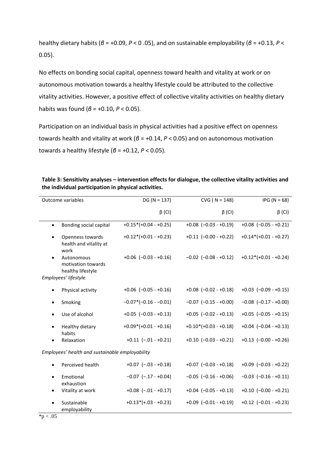healthy dietary habits (*β* = +0.09, *P* < 0 .05), and on sustainable employability (*β* = +0.13, *P* < 0.05).

No effects on bonding social capital, openness toward health and vitality at work or on autonomous motivation towards a healthy lifestyle could be attributed to the collective vitality activities. However, a positive effect of collective vitality activities on healthy dietary habits was found (*β* = +0.10, *P* < 0.05).

Participation on an individual basis in physical activities had a positive effect on openness towards health and vitality at work (*β* = +0.14, *P* < 0.05) and on autonomous motivation towards a healthy lifestyle (*β* = +0.12, *P* < 0.05).

|                                                 | Outcome variables                                                             | $DG (N = 137)$            | $CVG (N = 148)$           | $IPG (N = 68)$            |
|-------------------------------------------------|-------------------------------------------------------------------------------|---------------------------|---------------------------|---------------------------|
|                                                 |                                                                               | $\beta$ (CI)              | $\beta$ (CI)              | $\beta$ (CI)              |
| $\bullet$                                       | Bonding social capital                                                        | $+0.15*(+0.04 - +0.25)$   | $+0.08$ $(-0.03 - +0.19)$ | $+0.08$ (-0.05 - +0.21)   |
| $\bullet$                                       | Openness towards<br>health and vitality at<br>work                            | $+0.12*(+0.01 - +0.23)$   | $+0.11$ $(-0.00 - +0.22)$ | $+0.14*(+0.01 - +0.27)$   |
|                                                 | Autonomous<br>motivation towards<br>healthy lifestyle<br>Employees' lifestyle | $+0.06$ $(-0.03 - +0.16)$ | $-0.02$ $(-0.08 - +0.12)$ | $+0.12*(+0.01 - +0.24)$   |
|                                                 |                                                                               |                           |                           |                           |
|                                                 | Physical activity                                                             | $+0.06$ $(-0.05 - +0.16)$ | $+0.08$ $(-0.02 - +0.18)$ | $+0.03$ $(-0.09 - +0.15)$ |
| $\bullet$                                       | Smoking                                                                       | $-0.07*(-0.16 - 0.01)$    | $-0.07$ $(-0.15 - +0.00)$ | $-0.08$ $(-0.17 - +0.00)$ |
|                                                 | Use of alcohol                                                                | $+0.05$ $(-0.03 - +0.13)$ | $+0.05$ $(-0.02 - +0.13)$ | $+0.05$ $(-0.05 - +0.15)$ |
| $\bullet$                                       | Healthy dietary<br>habits                                                     | $+0.09*(+0.01 - +0.16)$   | $+0.10*(+0.03 - +0.18)$   | $+0.04$ $(-0.04 - +0.13)$ |
|                                                 | Relaxation                                                                    | $+0.11$ $(-.01 - +0.21)$  | $+0.10$ $(-0.03 - +0.21)$ | $+0.13$ $(-0.00 - +0.26)$ |
| Employees' health and sustainable employability |                                                                               |                           |                           |                           |
| $\bullet$                                       | Perceived health                                                              | $+0.07$ $(-.03 - +0.18)$  | $+0.07$ $(-0.03 - +0.18)$ | $+0.09$ $(-0.03 - +0.22)$ |
| $\bullet$                                       | Emotional<br>exhaustion                                                       | $-0.07$ $(-.17 - +0.04)$  | $-0.05$ $(-0.16 - +0.06)$ | $-0.03$ $(-0.16 - +0.11)$ |
|                                                 | Vitality at work                                                              | $+0.08$ $(-.01 - +0.17)$  | $+0.04$ $(-0.05 - +0.13)$ | $+0.10$ (-0.00 - +0.21)   |
|                                                 | Sustainable<br>employability                                                  | $+0.13*(+.03 - +0.23)$    | $+0.09$ $(-0.01 - +0.19)$ | $+0.12$ $(-0.01 - +0.23)$ |

| Table 3: Sensitivity analyses – intervention effects for dialogue, the collective vitality activities and |
|-----------------------------------------------------------------------------------------------------------|
| the individual participation in physical activities.                                                      |

 $*p < .05$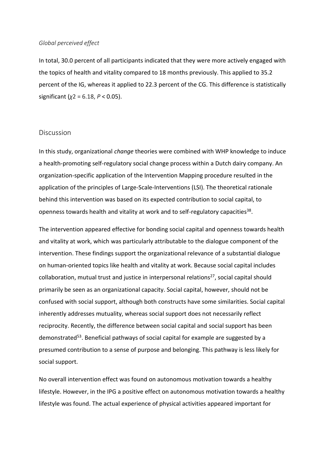#### *Global perceived effect*

In total, 30.0 percent of all participants indicated that they were more actively engaged with the topics of health and vitality compared to 18 months previously. This applied to 35.2 percent of the IG, whereas it applied to 22.3 percent of the CG. This difference is statistically significant (*χ*2 = 6.18, *P* < 0.05).

## **Discussion**

In this study, organizational *change* theories were combined with WHP knowledge to induce a health-promoting self-regulatory social change process within a Dutch dairy company. An organization-specific application of the Intervention Mapping procedure resulted in the application of the principles of Large-Scale-Interventions (LSI). The theoretical rationale behind this intervention was based on its expected contribution to social capital, to openness towards health and vitality at work and to self-regulatory capacities<sup>38</sup>.

The intervention appeared effective for bonding social capital and openness towards health and vitality at work, which was particularly attributable to the dialogue component of the intervention. These findings support the organizational relevance of a substantial dialogue on human-oriented topics like health and vitality at work. Because social capital includes collaboration, mutual trust and justice in interpersonal relations<sup>27</sup>, social capital should primarily be seen as an organizational capacity. Social capital, however, should not be confused with social support, although both constructs have some similarities. Social capital inherently addresses mutuality, whereas social support does not necessarily reflect reciprocity. Recently, the difference between social capital and social support has been demonstrated<sup>53</sup>. Beneficial pathways of social capital for example are suggested by a presumed contribution to a sense of purpose and belonging. This pathway is less likely for social support.

No overall intervention effect was found on autonomous motivation towards a healthy lifestyle. However, in the IPG a positive effect on autonomous motivation towards a healthy lifestyle was found. The actual experience of physical activities appeared important for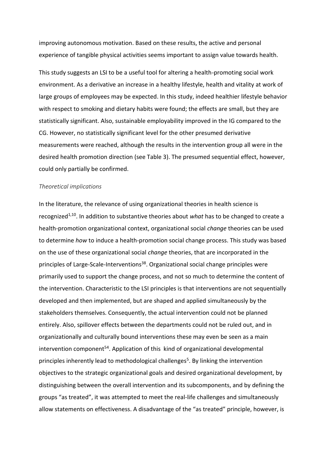improving autonomous motivation. Based on these results, the active and personal experience of tangible physical activities seems important to assign value towards health.

This study suggests an LSI to be a useful tool for altering a health-promoting social work environment. As a derivative an increase in a healthy lifestyle, health and vitality at work of large groups of employees may be expected. In this study, indeed healthier lifestyle behavior with respect to smoking and dietary habits were found; the effects are small, but they are statistically significant. Also, sustainable employability improved in the IG compared to the CG. However, no statistically significant level for the other presumed derivative measurements were reached, although the results in the intervention group all were in the desired health promotion direction (see Table 3). The presumed sequential effect, however, could only partially be confirmed.

### *Theoretical implications*

In the literature, the relevance of using organizational theories in health science is recognized<sup>1,10</sup>. In addition to substantive theories about *what* has to be changed to create a health-promotion organizational context, organizational social *change* theories can be used to determine *how* to induce a health-promotion social change process. This study was based on the use of these organizational social *change* theories, that are incorporated in the principles of Large-Scale-Interventions<sup>38</sup>. Organizational social change principles were primarily used to support the change process, and not so much to determine the content of the intervention. Characteristic to the LSI principles is that interventions are not sequentially developed and then implemented, but are shaped and applied simultaneously by the stakeholders themselves. Consequently, the actual intervention could not be planned entirely. Also, spillover effects between the departments could not be ruled out, and in organizationally and culturally bound interventions these may even be seen as a main intervention component<sup>54</sup>. Application of this kind of organizational developmental principles inherently lead to methodological challenges<sup>5</sup>. By linking the intervention objectives to the strategic organizational goals and desired organizational development, by distinguishing between the overall intervention and its subcomponents, and by defining the groups "as treated", it was attempted to meet the real-life challenges and simultaneously allow statements on effectiveness. A disadvantage of the "as treated" principle, however, is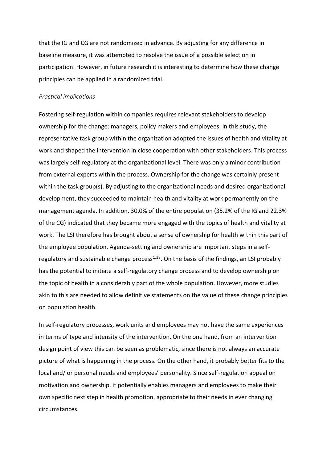that the IG and CG are not randomized in advance. By adjusting for any difference in baseline measure, it was attempted to resolve the issue of a possible selection in participation. However, in future research it is interesting to determine how these change principles can be applied in a randomized trial.

### *Practical implications*

Fostering self-regulation within companies requires relevant stakeholders to develop ownership for the change: managers, policy makers and employees. In this study, the representative task group within the organization adopted the issues of health and vitality at work and shaped the intervention in close cooperation with other stakeholders. This process was largely self-regulatory at the organizational level. There was only a minor contribution from external experts within the process. Ownership for the change was certainly present within the task group(s). By adjusting to the organizational needs and desired organizational development, they succeeded to maintain health and vitality at work permanently on the management agenda. In addition, 30.0% of the entire population (35.2% of the IG and 22.3% of the CG) indicated that they became more engaged with the topics of health and vitality at work. The LSI therefore has brought about a sense of ownership for health within this part of the employee population. Agenda-setting and ownership are important steps in a selfregulatory and sustainable change process $1,38$ . On the basis of the findings, an LSI probably has the potential to initiate a self-regulatory change process and to develop ownership on the topic of health in a considerably part of the whole population. However, more studies akin to this are needed to allow definitive statements on the value of these change principles on population health.

In self-regulatory processes, work units and employees may not have the same experiences in terms of type and intensity of the intervention. On the one hand, from an intervention design point of view this can be seen as problematic, since there is not always an accurate picture of what is happening in the process. On the other hand, it probably better fits to the local and/ or personal needs and employees' personality. Since self-regulation appeal on motivation and ownership, it potentially enables managers and employees to make their own specific next step in health promotion, appropriate to their needs in ever changing circumstances.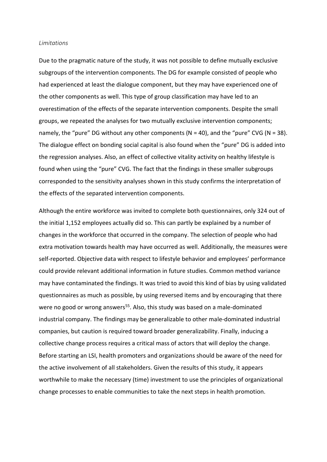#### *Limitations*

Due to the pragmatic nature of the study, it was not possible to define mutually exclusive subgroups of the intervention components. The DG for example consisted of people who had experienced at least the dialogue component, but they may have experienced one of the other components as well. This type of group classification may have led to an overestimation of the effects of the separate intervention components. Despite the small groups, we repeated the analyses for two mutually exclusive intervention components; namely, the "pure" DG without any other components ( $N = 40$ ), and the "pure" CVG ( $N = 38$ ). The dialogue effect on bonding social capital is also found when the "pure" DG is added into the regression analyses. Also, an effect of collective vitality activity on healthy lifestyle is found when using the "pure" CVG. The fact that the findings in these smaller subgroups corresponded to the sensitivity analyses shown in this study confirms the interpretation of the effects of the separated intervention components.

Although the entire workforce was invited to complete both questionnaires, only 324 out of the initial 1,152 employees actually did so. This can partly be explained by a number of changes in the workforce that occurred in the company. The selection of people who had extra motivation towards health may have occurred as well. Additionally, the measures were self-reported. Objective data with respect to lifestyle behavior and employees' performance could provide relevant additional information in future studies. Common method variance may have contaminated the findings. It was tried to avoid this kind of bias by using validated questionnaires as much as possible, by using reversed items and by encouraging that there were no good or wrong answers<sup>55</sup>. Also, this study was based on a male-dominated industrial company. The findings may be generalizable to other male-dominated industrial companies, but caution is required toward broader generalizability. Finally, inducing a collective change process requires a critical mass of actors that will deploy the change. Before starting an LSI, health promoters and organizations should be aware of the need for the active involvement of all stakeholders. Given the results of this study, it appears worthwhile to make the necessary (time) investment to use the principles of organizational change processes to enable communities to take the next steps in health promotion.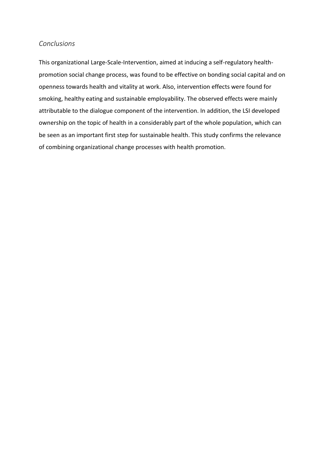# *Conclusions*

This organizational Large-Scale-Intervention, aimed at inducing a self-regulatory healthpromotion social change process, was found to be effective on bonding social capital and on openness towards health and vitality at work. Also, intervention effects were found for smoking, healthy eating and sustainable employability. The observed effects were mainly attributable to the dialogue component of the intervention. In addition, the LSI developed ownership on the topic of health in a considerably part of the whole population, which can be seen as an important first step for sustainable health. This study confirms the relevance of combining organizational change processes with health promotion.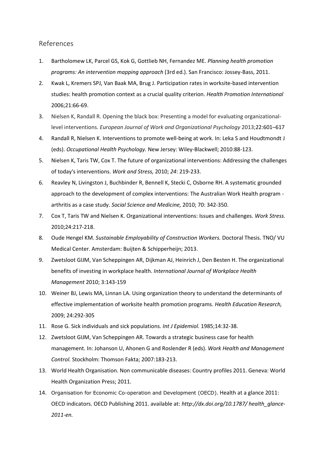# References

- 1. Bartholomew LK, Parcel GS, Kok G, Gottlieb NH, Fernandez ME. *Planning health promotion programs: An intervention mapping approach* (3rd ed.). San Francisco: Jossey-Bass, 2011.
- 2. Kwak L, Kremers SPJ, Van Baak MA, Brug J. Participation rates in worksite-based intervention studies: health promotion context as a crucial quality criterion. *Health Promotion International* 2006;21:66-69.
- 3. Nielsen K, Randall R. Opening the black box: Presenting a model for evaluating organizationallevel interventions. *European Journal of Work and Organizational Psychology* 2013;22:601–617
- 4. Randall R, Nielsen K. Interventions to promote well-being at work. In: Leka S and Houdtmondt J (eds). *Occupational Health Psychology.* New Jersey: Wiley-Blackwell; 2010:88-123.
- 5. Nielsen K, Taris TW, Cox T. The future of organizational interventions: Addressing the challenges of today's interventions. *Work and Stress,* 2010; *24*: 219-233.
- 6. Reavley N, Livingston J, Buchbinder R, Bennell K, Stecki C, Osborne RH. A systematic grounded approach to the development of complex interventions: The Australian Work Health program arthritis as a case study. *Social Science and Medicine,* 2010; 70: 342-350.
- 7. Cox T, Taris TW and Nielsen K. Organizational interventions: Issues and challenges. *Work Stress.*  2010;24:217-218.
- 8. Oude Hengel KM. *Sustainable Employability of Construction Workers.* Doctoral Thesis. TNO/ VU Medical Center. Amsterdam: Buijten & Schipperheijn; 2013.
- 9. Zwetsloot GIJM, Van Scheppingen AR, Dijkman AJ, Heinrich J, Den Besten H. The organizational benefits of investing in workplace health. *International Journal of Workplace Health Management* 2010; 3:143-159
- 10. Weiner BJ, Lewis MA, Linnan LA. Using organization theory to understand the determinants of effective implementation of worksite health promotion programs. *Health Education Research,*  2009; 24:292-305
- 11. Rose G. Sick individuals and sick populations. *Int J Epidemiol.* 1985;14:32-38.
- 12. Zwetsloot GIJM, Van Scheppingen AR. Towards a strategic business case for health management. In: Johanson U, Ahonen G and Roslender R (eds). *Work Health and Management Control.* Stockholm: Thomson Fakta; 2007:183-213.
- 13. World Health Organisation. Non communicable diseases: Country profiles 2011. Geneva: World Health Organization Press; 2011.
- 14. Organisation for Economic Co-operation and Development (OECD). Health at a glance 2011: OECD indicators. OECD Publishing 2011. available at: *http://dx.doi.org/10.1787/ health\_glance-2011-en.*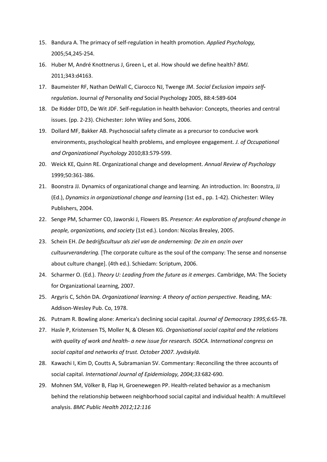- 15. Bandura A. The primacy of self-regulation in health promotion. *Applied Psychology,* 2005;54,245-254.
- 16. Huber M, André Knottnerus J, Green L, et al. How should we define health? *BMJ.*  2011;343:d4163.
- 17. Baumeister RF, Nathan DeWall C, Ciarocco NJ, Twenge JM. *Social Exclusion* i*mpairs self*r*egulation***.** Journal *of* Personality *and* Social Psychology 2005, 88:4:589-604
- 18. De Ridder DTD, De Wit JDF. Self-regulation in health behavior: Concepts, theories and central issues. (pp. 2-23). Chichester: John Wiley and Sons, 2006.
- 19. Dollard MF, Bakker AB. Psychosocial safety climate as a precursor to conducive work environments, psychological health problems, and employee engagement. *J. of Occupational and Organizational Psychology* 2010;83:579-599.
- 20. Weick KE, Quinn RE. Organizational change and development. *Annual Review of Psychology*  1999;50:361-386.
- 21. Boonstra JJ. Dynamics of organizational change and learning. An introduction. In: Boonstra, JJ (Ed.), *Dynamics in organizational change and learning* (1st ed., pp. 1-42). Chichester: Wiley Publishers, 2004.
- 22. Senge PM, Scharmer CO, Jaworski J, Flowers BS. *Presence: An exploration of profound change in people, organizations, and society* (1st ed.). London: Nicolas Brealey, 2005.
- 23. Schein EH. *De bedrijfscultuur als ziel van de onderneming: De zin en onzin over cultuurverandering.* [The corporate culture as the soul of the company: The sense and nonsense about culture change]. (4th ed.). Schiedam: Scriptum, 2006.
- 24. Scharmer O. (Ed.). *Theory U: Leading from the future as it emerges*. Cambridge, MA: The Society for Organizational Learning, 2007.
- 25. Argyris C, Schön DA. *Organizational learning: A theory of action perspective*. Reading, MA: Addison-Wesley Pub. Co, 1978.
- 26. Putnam R. Bowling alone: America's declining social capital. *Journal of Democracy 1995;6:*65-78.
- 27. Hasle P, Kristensen TS, Moller N, & Olesen KG. *Organisational social capital and the relations with quality of work and health- a new issue for research. ISOCA. International congress on social capital and networks of trust. October 2007. Jyväskylä.*
- 28. Kawachi I, Kim D, Coutts A, Subramanian SV. Commentary: Reconciling the three accounts of social capital. *International Journal of Epidemiology, 2004;33:*682-690.
- 29. Mohnen SM, Völker B, Flap H, Groenewegen PP. Health-related behavior as a mechanism behind the relationship between neighborhood social capital and individual health: A multilevel analysis. *BMC Public Health 2012;12:116*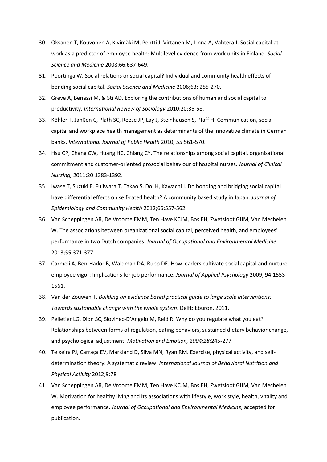- 30. Oksanen T, Kouvonen A, Kivimäki M, Pentti J, Virtanen M, Linna A, Vahtera J. Social capital at work as a predictor of employee health: Multilevel evidence from work units in Finland. *Social Science and Medicine* 2008;66:637-649.
- 31. Poortinga W. Social relations or social capital? Individual and community health effects of bonding social capital. *Social Science and Medicine* 2006;63: 255-270.
- 32. Greve A, Benassi M, & Sti AD. Exploring the contributions of human and social capital to productivity. *International Review of Sociology* 2010;20:35-58.
- 33. Köhler T, Janßen C, Plath SC, Reese JP, Lay J, Steinhausen S, Pfaff H. Communication, social capital and workplace health management as determinants of the innovative climate in German banks. *International Journal of Public Health* 2010; 55:561-570.
- 34. Hsu CP, Chang CW, Huang HC, Chiang CY. The relationships among social capital, organisational commitment and customer-oriented prosocial behaviour of hospital nurses. *Journal of Clinical Nursing,* 2011;20:1383-1392.
- 35. Iwase T, Suzuki E, Fujiwara T, Takao S, Doi H, Kawachi I. Do bonding and bridging social capital have differential effects on self-rated health? A community based study in Japan. *Journal of Epidemiology and Community Health* 2012;66:557-562.
- 36. Van Scheppingen AR, De Vroome EMM, Ten Have KCJM, Bos EH, Zwetsloot GIJM, Van Mechelen W. The associations between organizational social capital, perceived health, and employees' performance in two Dutch companies. *Journal of Occupational and Environmental Medicine* 2013;55:371-377.
- 37. Carmeli A, Ben-Hador B, Waldman DA, Rupp DE. How leaders cultivate social capital and nurture employee vigor: Implications for job performance. *Journal of Applied Psychology* 2009; 94:1553- 1561.
- 38. Van der Zouwen T. *Building an evidence based practical guide to large scale interventions: Towards sustainable change with the whole system*. Delft: Eburon, 2011.
- 39. Pelletier LG, Dion SC, Slovinec-D'Angelo M, Reid R. Why do you regulate what you eat? Relationships between forms of regulation, eating behaviors, sustained dietary behavior change, and psychological adjustment. *Motivation and Emotion, 2004;28:*245-277.
- 40. Teixeira PJ, Carraça EV, Markland D, Silva MN, Ryan RM. Exercise, physical activity, and selfdetermination theory: A systematic review. *International Journal of Behavioral Nutrition and Physical Activity* 2012;9:78
- 41. Van Scheppingen AR, De Vroome EMM, Ten Have KCJM, Bos EH, Zwetsloot GIJM, Van Mechelen W. Motivation for healthy living and its associations with lifestyle, work style, health, vitality and employee performance. *Journal of Occupational and Environmental Medicine,* accepted for publication.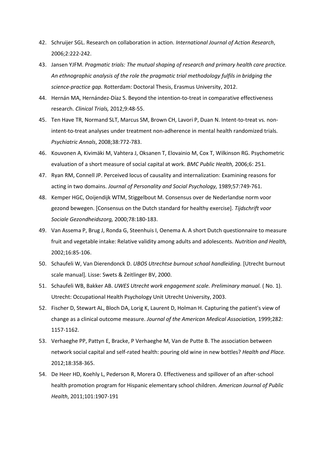- 42. Schruijer SGL. Research on collaboration in action. *International Journal of Action Research*, 2006;2:222-242.
- 43. Jansen YJFM. *Pragmatic trials: The mutual shaping of research and primary health care practice. An ethnographic analysis of the role the pragmatic trial methodology fulfils in bridging the science-practice gap.* Rotterdam: Doctoral Thesis, Erasmus University, 2012.
- 44. Hernán MA, Hernández-Díaz S. Beyond the intention-to-treat in comparative effectiveness research. *Clinical Trials,* 2012;9:48-55.
- 45. Ten Have TR, Normand SLT, Marcus SM, Brown CH, Lavori P, Duan N. Intent-to-treat vs. nonintent-to-treat analyses under treatment non-adherence in mental health randomized trials. *Psychiatric Annals*, 2008;38:772-783.
- 46. Kouvonen A, Kivimäki M, Vahtera J, Oksanen T, Elovainio M, Cox T, Wilkinson RG. Psychometric evaluation of a short measure of social capital at work. *BMC Public Health,* 2006;6: 251.
- 47. Ryan RM, Connell JP. Perceived locus of causality and internalization: Examining reasons for acting in two domains. *Journal of Personality and Social Psychology,* 1989;57:749-761.
- 48. Kemper HGC, Ooijendijk WTM, Stiggelbout M. Consensus over de Nederlandse norm voor gezond bewegen. [Consensus on the Dutch standard for healthy exercise]. *Tijdschrift voor Sociale Gezondheidszorg,* 2000;78:180-183.
- 49. Van Assema P, Brug J, Ronda G, Steenhuis I, Oenema A. A short Dutch questionnaire to measure fruit and vegetable intake: Relative validity among adults and adolescents. *Nutrition and Health,* 2002;16:85-106.
- 50. Schaufeli W, Van Dierendonck D. *UBOS Utrechtse burnout schaal handleiding.* [Utrecht burnout scale manual]*.* Lisse: Swets & Zeitlinger BV, 2000.
- 51. Schaufeli WB, Bakker AB. *UWES Utrecht work engagement scale. Preliminary manual.* ( No. 1). Utrecht: Occupational Health Psychology Unit Utrecht University, 2003.
- 52. Fischer D, Stewart AL, Bloch DA, Lorig K, Laurent D, Holman H. Capturing the patient's view of change as a clinical outcome measure. *Journal of the American Medical Association,* 1999;282: 1157-1162.
- 53. Verhaeghe PP, Pattyn E, Bracke, P Verhaeghe M, Van de Putte B. The association between network social capital and self-rated health: pouring old wine in new bottles? *Health and Place.*  2012;18:358-365.
- 54. De Heer HD, Koehly L, Pederson R, Morera O. Effectiveness and spillover of an after-school health promotion program for Hispanic elementary school children. *American Journal of Public Health*, 2011;101:1907-191